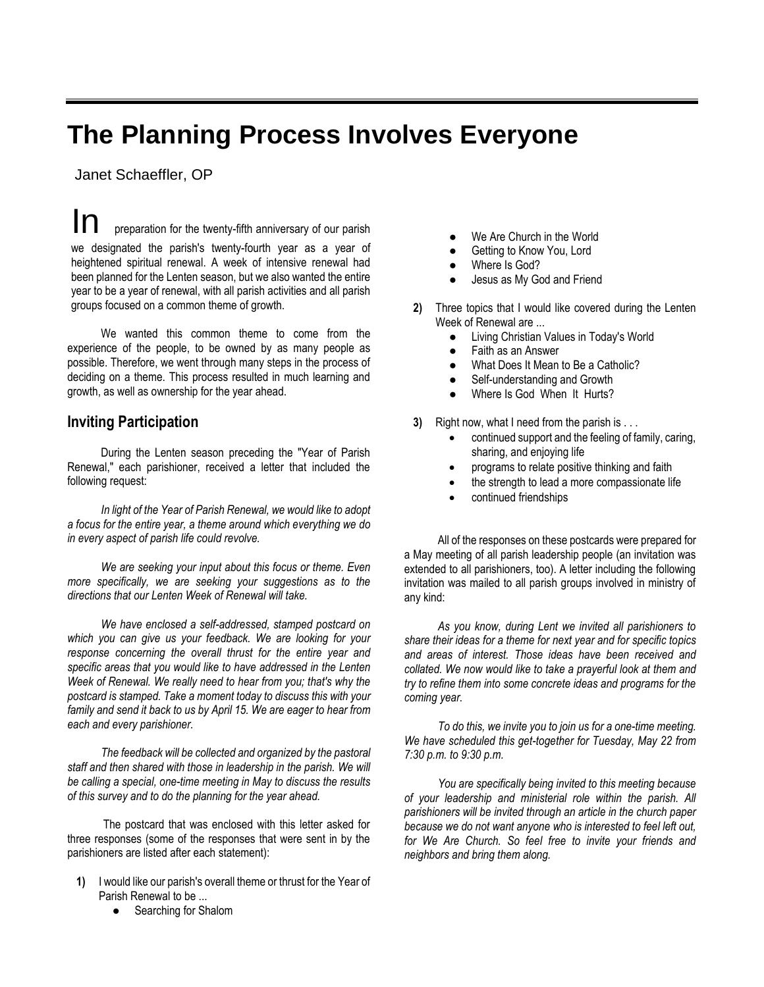## **The Planning Process Involves Everyone**

Janet Schaeffler, OP

preparation for the twenty-fifth anniversary of our parish we designated the parish's twenty-fourth year as a year of heightened spiritual renewal. A week of intensive renewal had been planned for the Lenten season, but we also wanted the entire year to be a year of renewal, with all parish activities and all parish groups focused on a common theme of growth.

We wanted this common theme to come from the experience of the people, to be owned by as many people as possible. Therefore, we went through many steps in the process of deciding on a theme. This process resulted in much learning and growth, as well as ownership for the year ahead.

## **Inviting Participation**

During the Lenten season preceding the "Year of Parish Renewal," each parishioner, received a letter that included the following request:

*In light of the Year of Parish Renewal, we would like to adopt a focus for the entire year, a theme around which everything we do in every aspect of parish life could revolve.*

*We are seeking your input about this focus or theme. Even more specifically, we are seeking your suggestions as to the directions that our Lenten Week of Renewal will take.*

*We have enclosed a self-addressed, stamped postcard on which you can give us your feedback. We are looking for your response concerning the overall thrust for the entire year and specific areas that you would like to have addressed in the Lenten Week of Renewal. We really need to hear from you; that's why the postcard is stamped. Take a moment today to discuss this with your family and send it back to us by April 15. We are eager to hear from each and every parishioner.*

*The feedback will be collected and organized by the pastoral staff and then shared with those in leadership in the parish. We will be calling a special, one-time meeting in May to discuss the results of this survey and to do the planning for the year ahead.*

The postcard that was enclosed with this letter asked for three responses (some of the responses that were sent in by the parishioners are listed after each statement):

- **1)** I would like our parish's overall theme or thrust for the Year of Parish Renewal to be ...
	- Searching for Shalom
- We Are Church in the World
- Getting to Know You, Lord
- Where Is God?
- Jesus as My God and Friend
- **2)** Three topics that I would like covered during the Lenten Week of Renewal are ...
	- Living Christian Values in Today's World
	- Faith as an Answer
	- What Does It Mean to Be a Catholic?
	- Self-understanding and Growth
	- Where Is God When It Hurts?
- **3)** Right now, what I need from the parish is . . .
	- continued support and the feeling of family, caring, sharing, and enjoying life
	- programs to relate positive thinking and faith
	- the strength to lead a more compassionate life
	- continued friendships

All of the responses on these postcards were prepared for a May meeting of all parish leadership people (an invitation was extended to all parishioners, too). A letter including the following invitation was mailed to all parish groups involved in ministry of any kind:

*As you know, during Lent we invited all parishioners to share their ideas for a theme for next year and for specific topics and areas of interest. Those ideas have been received and collated. We now would like to take a prayerful look at them and try to refine them into some concrete ideas and programs for the coming year.*

*To do this, we invite you to join us for a one-time meeting. We have scheduled this get-together for Tuesday, May 22 from 7:30 p.m. to 9:30 p.m.*

*You are specifically being invited to this meeting because of your leadership and ministerial role within the parish. All parishioners will be invited through an article in the church paper because we do not want anyone who is interested to feel left out, for We Are Church. So feel free to invite your friends and neighbors and bring them along.*